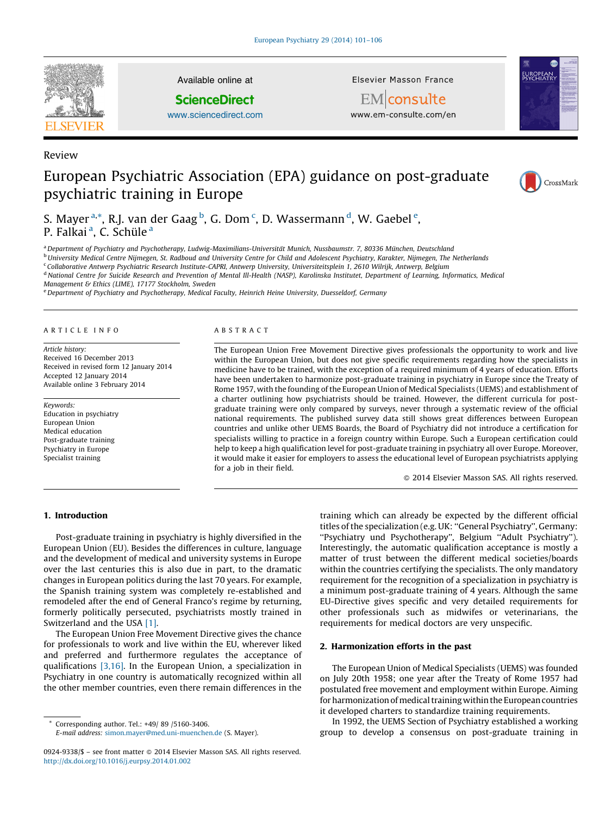

Review

Available online at

**ScienceDirect** 

[www.sciencedirect.com](http://www.sciencedirect.com/science/journal/09249338)

Elsevier Masson France



EMconsulte www.em-consulte.com/en

# European Psychiatric Association (EPA) guidance on post-graduate psychiatric training in Europe



S. Mayer <sup>a,\*</sup>, R.J. van der Gaag <sup>b</sup>, G. Dom <sup>c</sup>, D. Wassermann <sup>d</sup>, W. Gaebel <sup>e</sup>, P. Falkai <sup>a</sup>, C. Schüle <sup>a</sup>

<sup>a</sup> Department of Psychiatry and Psychotherapy, Ludwig-Maximilians-Universität Munich, Nussbaumstr. 7, 80336 München, Deutschland **b** University Medical Centre Nijmegen, St. Radboud and University Centre for Child and Adolescent Psychiatry, Karakter, Nijmegen, The Netherlands

<sup>c</sup> Collaborative Antwerp Psychiatric Research Institute-CAPRI, Antwerp University, Universiteitsplein 1, 2610 Wilrijk, Antwerp, Belgium

<sup>d</sup> National Centre for Suicide Research and Prevention of Mental Ill-Health (NASP), Karolinska Institutet, Department of Learning, Informatics, Medical Management & Ethics (LIME), 17177 Stockholm, Sweden

e Department of Psychiatry and Psychotherapy, Medical Faculty, Heinrich Heine University, Duesseldorf, Germany

#### A R T I C L E I N F O

Article history: Received 16 December 2013 Received in revised form 12 January 2014 Accepted 12 January 2014 Available online 3 February 2014

Keywords: Education in psychiatry European Union Medical education Post-graduate training Psychiatry in Europe Specialist training

#### A B S T R A C T

The European Union Free Movement Directive gives professionals the opportunity to work and live within the European Union, but does not give specific requirements regarding how the specialists in medicine have to be trained, with the exception of a required minimum of 4 years of education. Efforts have been undertaken to harmonize post-graduate training in psychiatry in Europe since the Treaty of Rome 1957, with the founding of the European Union of Medical Specialists (UEMS) and establishment of a charter outlining how psychiatrists should be trained. However, the different curricula for postgraduate training were only compared by surveys, never through a systematic review of the official national requirements. The published survey data still shows great differences between European countries and unlike other UEMS Boards, the Board of Psychiatry did not introduce a certification for specialists willing to practice in a foreign country within Europe. Such a European certification could help to keep a high qualification level for post-graduate training in psychiatry all over Europe. Moreover, it would make it easier for employers to assess the educational level of European psychiatrists applying for a job in their field.

 $\odot$  2014 Elsevier Masson SAS. All rights reserved.

# 1. Introduction

Post-graduate training in psychiatry is highly diversified in the European Union (EU). Besides the differences in culture, language and the development of medical and university systems in Europe over the last centuries this is also due in part, to the dramatic changes in European politics during the last 70 years. For example, the Spanish training system was completely re-established and remodeled after the end of General Franco's regime by returning, formerly politically persecuted, psychiatrists mostly trained in Switzerland and the USA [\[1\]](#page-4-0).

The European Union Free Movement Directive gives the chance for professionals to work and live within the EU, wherever liked and preferred and furthermore regulates the acceptance of qualifications [\[3,16\]](#page-5-0). In the European Union, a specialization in Psychiatry in one country is automatically recognized within all the other member countries, even there remain differences in the

E-mail address: [simon.mayer@med.uni-muenchen.de](mailto:simon.mayer@med.uni-muenchen.de) (S. Mayer).

training which can already be expected by the different official titles of the specialization (e.g. UK: "General Psychiatry", Germany: ''Psychiatry und Psychotherapy'', Belgium ''Adult Psychiatry''). Interestingly, the automatic qualification acceptance is mostly a matter of trust between the different medical societies/boards within the countries certifying the specialists. The only mandatory requirement for the recognition of a specialization in psychiatry is a minimum post-graduate training of 4 years. Although the same EU-Directive gives specific and very detailed requirements for other professionals such as midwifes or veterinarians, the requirements for medical doctors are very unspecific.

# 2. Harmonization efforts in the past

The European Union of Medical Specialists (UEMS) was founded on July 20th 1958; one year after the Treaty of Rome 1957 had postulated free movement and employment within Europe. Aiming for harmonization of medical training within the European countries it developed charters to standardize training requirements.

In 1992, the UEMS Section of Psychiatry established a working group to develop a consensus on post-graduate training in

Corresponding author. Tel.: +49/ 89 /5160-3406.

<sup>0924-9338/\$ –</sup> see front matter © 2014 Elsevier Masson SAS. All rights reserved. <http://dx.doi.org/10.1016/j.eurpsy.2014.01.002>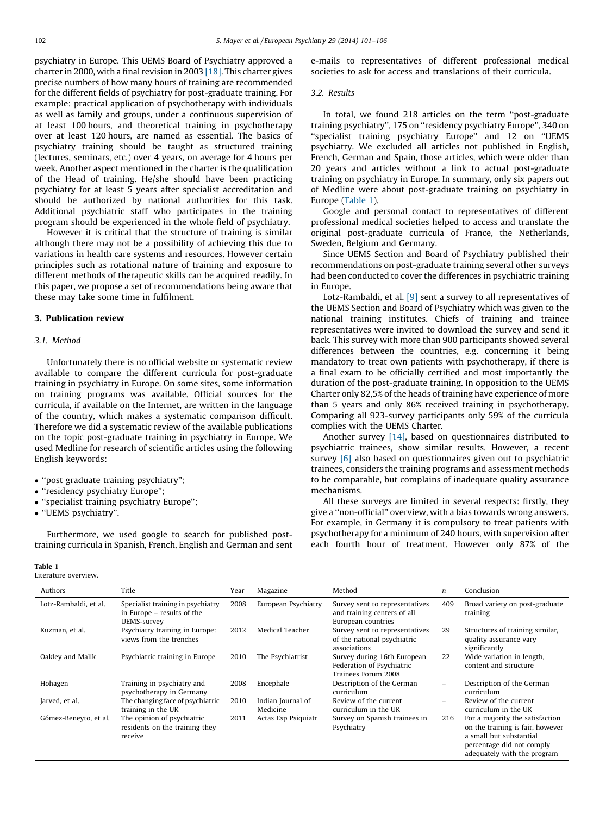psychiatry in Europe. This UEMS Board of Psychiatry approved a charter in 2000, with a final revision in 2003 [\[18\]](#page-5-0). This charter gives precise numbers of how many hours of training are recommended for the different fields of psychiatry for post-graduate training. For example: practical application of psychotherapy with individuals as well as family and groups, under a continuous supervision of at least 100 hours, and theoretical training in psychotherapy over at least 120 hours, are named as essential. The basics of psychiatry training should be taught as structured training (lectures, seminars, etc.) over 4 years, on average for 4 hours per week. Another aspect mentioned in the charter is the qualification of the Head of training. He/she should have been practicing psychiatry for at least 5 years after specialist accreditation and should be authorized by national authorities for this task. Additional psychiatric staff who participates in the training program should be experienced in the whole field of psychiatry.

However it is critical that the structure of training is similar although there may not be a possibility of achieving this due to variations in health care systems and resources. However certain principles such as rotational nature of training and exposure to different methods of therapeutic skills can be acquired readily. In this paper, we propose a set of recommendations being aware that these may take some time in fulfilment.

## 3. Publication review

## 3.1. Method

Unfortunately there is no official website or systematic review available to compare the different curricula for post-graduate training in psychiatry in Europe. On some sites, some information on training programs was available. Official sources for the curricula, if available on the Internet, are written in the language of the country, which makes a systematic comparison difficult. Therefore we did a systematic review of the available publications on the topic post-graduate training in psychiatry in Europe. We used Medline for research of scientific articles using the following English keywords:

- ''post graduate training psychiatry'';
- ''residency psychiatry Europe'';
- ''specialist training psychiatry Europe'';
- ''UEMS psychiatry''.

Furthermore, we used google to search for published posttraining curricula in Spanish, French, English and German and sent

#### Table 1 Literature overview.

e-mails to representatives of different professional medical societies to ask for access and translations of their curricula.

# 3.2. Results

In total, we found 218 articles on the term ''post-graduate training psychiatry'', 175 on ''residency psychiatry Europe'', 340 on ''specialist training psychiatry Europe'' and 12 on ''UEMS psychiatry. We excluded all articles not published in English, French, German and Spain, those articles, which were older than 20 years and articles without a link to actual post-graduate training on psychiatry in Europe. In summary, only six papers out of Medline were about post-graduate training on psychiatry in Europe (Table 1).

Google and personal contact to representatives of different professional medical societies helped to access and translate the original post-graduate curricula of France, the Netherlands, Sweden, Belgium and Germany.

Since UEMS Section and Board of Psychiatry published their recommendations on post-graduate training several other surveys had been conducted to cover the differences in psychiatric training in Europe.

Lotz-Rambaldi, et al. [\[9\]](#page-5-0) sent a survey to all representatives of the UEMS Section and Board of Psychiatry which was given to the national training institutes. Chiefs of training and trainee representatives were invited to download the survey and send it back. This survey with more than 900 participants showed several differences between the countries, e.g. concerning it being mandatory to treat own patients with psychotherapy, if there is a final exam to be officially certified and most importantly the duration of the post-graduate training. In opposition to the UEMS Charter only 82,5% of the heads of training have experience of more than 5 years and only 86% received training in psychotherapy. Comparing all 923-survey participants only 59% of the curricula complies with the UEMS Charter.

Another survey [\[14\]](#page-5-0), based on questionnaires distributed to psychiatric trainees, show similar results. However, a recent survey [\[6\]](#page-5-0) also based on questionnaires given out to psychiatric trainees, considers the training programs and assessment methods to be comparable, but complains of inadequate quality assurance mechanisms.

All these surveys are limited in several respects: firstly, they give a ''non-official'' overview, with a bias towards wrong answers. For example, in Germany it is compulsory to treat patients with psychotherapy for a minimum of 240 hours, with supervision after each fourth hour of treatment. However only 87% of the

| Authors               | Title                                                                          | Year | Magazine                      | Method                                                                              | n                        | Conclusion                                                                                                                                                 |
|-----------------------|--------------------------------------------------------------------------------|------|-------------------------------|-------------------------------------------------------------------------------------|--------------------------|------------------------------------------------------------------------------------------------------------------------------------------------------------|
| Lotz-Rambaldi, et al. | Specialist training in psychiatry<br>in Europe - results of the<br>UEMS-survey | 2008 | European Psychiatry           | Survey sent to representatives<br>and training centers of all<br>European countries | 409                      | Broad variety on post-graduate<br>training                                                                                                                 |
| Kuzman, et al.        | Psychiatry training in Europe:<br>views from the trenches                      | 2012 | Medical Teacher               | Survey sent to representatives<br>of the national psychiatric<br>associations       | 29                       | Structures of training similar,<br>quality assurance vary<br>significantly                                                                                 |
| Oakley and Malik      | Psychiatric training in Europe                                                 | 2010 | The Psychiatrist              | Survey during 16th European<br>Federation of Psychiatric<br>Trainees Forum 2008     | 22                       | Wide variation in length,<br>content and structure                                                                                                         |
| Hohagen               | Training in psychiatry and<br>psychotherapy in Germany                         | 2008 | Encephale                     | Description of the German<br>curriculum                                             | -                        | Description of the German<br>curriculum                                                                                                                    |
| Jarved, et al.        | The changing face of psychiatric<br>training in the UK                         | 2010 | Indian Journal of<br>Medicine | Review of the current<br>curriculum in the UK                                       | $\overline{\phantom{0}}$ | Review of the current<br>curriculum in the UK                                                                                                              |
| Gómez-Beneyto, et al. | The opinion of psychiatric<br>residents on the training they<br>receive        | 2011 | Actas Esp Psiquiatr           | Survey on Spanish trainees in<br>Psychiatry                                         | 216                      | For a majority the satisfaction<br>on the training is fair, however<br>a small but substantial<br>percentage did not comply<br>adequately with the program |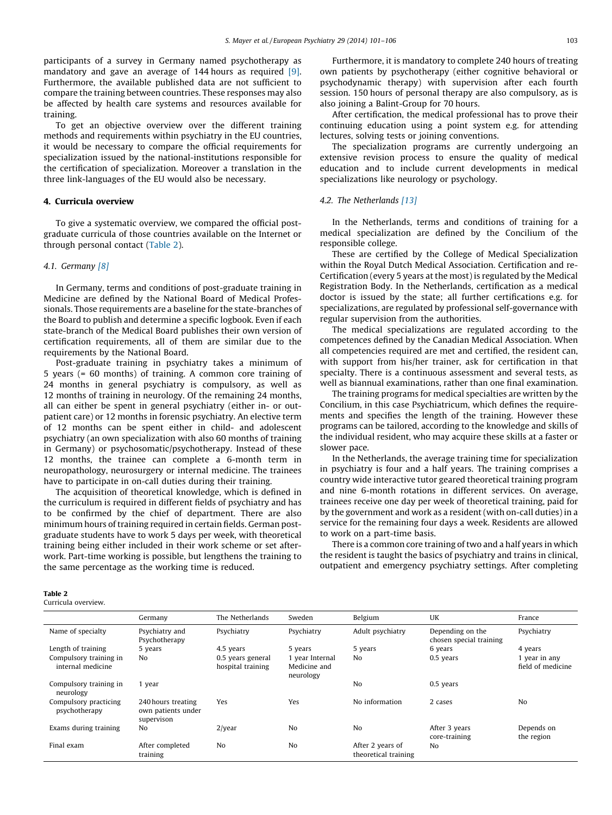participants of a survey in Germany named psychotherapy as mandatory and gave an average of 144 hours as required [\[9\].](#page-5-0) Furthermore, the available published data are not sufficient to compare the training between countries. These responses may also be affected by health care systems and resources available for training.

To get an objective overview over the different training methods and requirements within psychiatry in the EU countries, it would be necessary to compare the official requirements for specialization issued by the national-institutions responsible for the certification of specialization. Moreover a translation in the three link-languages of the EU would also be necessary.

# 4. Curricula overview

To give a systematic overview, we compared the official postgraduate curricula of those countries available on the Internet or through personal contact (Table 2).

## 4.1. Germany [\[8\]](#page-5-0)

In Germany, terms and conditions of post-graduate training in Medicine are defined by the National Board of Medical Professionals. Those requirements are a baseline for the state-branches of the Board to publish and determine a specific logbook. Even if each state-branch of the Medical Board publishes their own version of certification requirements, all of them are similar due to the requirements by the National Board.

Post-graduate training in psychiatry takes a minimum of 5 years (= 60 months) of training. A common core training of 24 months in general psychiatry is compulsory, as well as 12 months of training in neurology. Of the remaining 24 months, all can either be spent in general psychiatry (either in- or outpatient care) or 12 months in forensic psychiatry. An elective term of 12 months can be spent either in child- and adolescent psychiatry (an own specialization with also 60 months of training in Germany) or psychosomatic/psychotherapy. Instead of these 12 months, the trainee can complete a 6-month term in neuropathology, neurosurgery or internal medicine. The trainees have to participate in on-call duties during their training.

The acquisition of theoretical knowledge, which is defined in the curriculum is required in different fields of psychiatry and has to be confirmed by the chief of department. There are also minimum hours of training required in certain fields. German postgraduate students have to work 5 days per week, with theoretical training being either included in their work scheme or set afterwork. Part-time working is possible, but lengthens the training to the same percentage as the working time is reduced.

Furthermore, it is mandatory to complete 240 hours of treating own patients by psychotherapy (either cognitive behavioral or psychodynamic therapy) with supervision after each fourth session. 150 hours of personal therapy are also compulsory, as is also joining a Balint-Group for 70 hours.

After certification, the medical professional has to prove their continuing education using a point system e.g. for attending lectures, solving tests or joining conventions.

The specialization programs are currently undergoing an extensive revision process to ensure the quality of medical education and to include current developments in medical specializations like neurology or psychology.

## 4.2. The Netherlands [\[13\]](#page-5-0)

In the Netherlands, terms and conditions of training for a medical specialization are defined by the Concilium of the responsible college.

These are certified by the College of Medical Specialization within the Royal Dutch Medical Association. Certification and re-Certification (every 5 years at the most) is regulated by the Medical Registration Body. In the Netherlands, certification as a medical doctor is issued by the state; all further certifications e.g. for specializations, are regulated by professional self-governance with regular supervision from the authorities.

The medical specializations are regulated according to the competences defined by the Canadian Medical Association. When all competencies required are met and certified, the resident can, with support from his/her trainer, ask for certification in that specialty. There is a continuous assessment and several tests, as well as biannual examinations, rather than one final examination.

The training programs for medical specialties are written by the Concilium, in this case Psychiatricum, which defines the requirements and specifies the length of the training. However these programs can be tailored, according to the knowledge and skills of the individual resident, who may acquire these skills at a faster or slower pace.

In the Netherlands, the average training time for specialization in psychiatry is four and a half years. The training comprises a country wide interactive tutor geared theoretical training program and nine 6-month rotations in different services. On average, trainees receive one day per week of theoretical training, paid for by the government and work as a resident (with on-call duties) in a service for the remaining four days a week. Residents are allowed to work on a part-time basis.

There is a common core training of two and a half years in which the resident is taught the basics of psychiatry and trains in clinical, outpatient and emergency psychiatry settings. After completing

# Table 2

Curricula overview.

|                                             | Germany                                                | The Netherlands                        | Sweden                                       | Belgium                                  | UK                                          | France                             |
|---------------------------------------------|--------------------------------------------------------|----------------------------------------|----------------------------------------------|------------------------------------------|---------------------------------------------|------------------------------------|
| Name of specialty                           | Psychiatry and<br>Psychotherapy                        | Psychiatry                             | Psychiatry                                   | Adult psychiatry                         | Depending on the<br>chosen special training | Psychiatry                         |
| Length of training                          | 5 years                                                | 4.5 years                              | 5 years                                      | 5 years                                  | 6 years                                     | 4 years                            |
| Compulsory training in<br>internal medicine | No                                                     | 0.5 years general<br>hospital training | 1 year Internal<br>Medicine and<br>neurology | No                                       | 0.5 years                                   | 1 year in any<br>field of medicine |
| Compulsory training in<br>neurology         | 1 year                                                 |                                        |                                              | N <sub>0</sub>                           | 0.5 years                                   |                                    |
| Compulsory practicing<br>psychotherapy      | 240 hours treating<br>own patients under<br>supervison | Yes                                    | Yes                                          | No information                           | 2 cases                                     | No                                 |
| Exams during training                       | N <sub>0</sub>                                         | $2$ /year                              | No                                           | N <sub>0</sub>                           | After 3 years<br>core-training              | Depends on<br>the region           |
| Final exam                                  | After completed<br>training                            | No                                     | No                                           | After 2 years of<br>theoretical training | No                                          |                                    |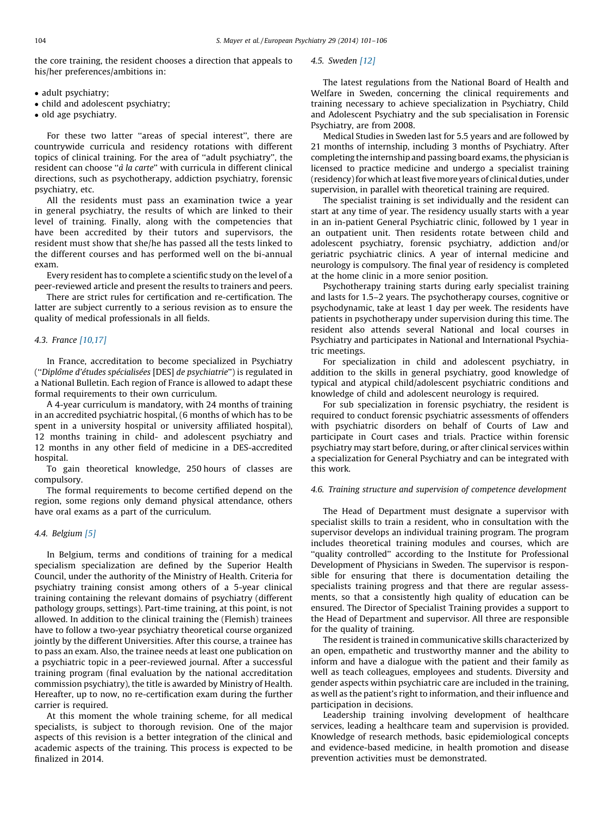the core training, the resident chooses a direction that appeals to his/her preferences/ambitions in:

- adult psychiatry;
- child and adolescent psychiatry;
- old age psychiatry.

For these two latter ''areas of special interest'', there are countrywide curricula and residency rotations with different topics of clinical training. For the area of ''adult psychiatry'', the resident can choose "à la carte" with curricula in different clinical directions, such as psychotherapy, addiction psychiatry, forensic psychiatry, etc.

All the residents must pass an examination twice a year in general psychiatry, the results of which are linked to their level of training. Finally, along with the competencies that have been accredited by their tutors and supervisors, the resident must show that she/he has passed all the tests linked to the different courses and has performed well on the bi-annual exam.

Every resident has to complete a scientific study on the level of a peer-reviewed article and present the results to trainers and peers.

There are strict rules for certification and re-certification. The latter are subject currently to a serious revision as to ensure the quality of medical professionals in all fields.

# 4.3. France [\[10,17\]](#page-5-0)

In France, accreditation to become specialized in Psychiatry ("Diplôme d'études spécialisées [DES] de psychiatrie") is regulated in a National Bulletin. Each region of France is allowed to adapt these formal requirements to their own curriculum.

A 4-year curriculum is mandatory, with 24 months of training in an accredited psychiatric hospital, (6 months of which has to be spent in a university hospital or university affiliated hospital), 12 months training in child- and adolescent psychiatry and 12 months in any other field of medicine in a DES-accredited hospital.

To gain theoretical knowledge, 250 hours of classes are compulsory.

The formal requirements to become certified depend on the region, some regions only demand physical attendance, others have oral exams as a part of the curriculum.

#### 4.4. Belgium [\[5\]](#page-5-0)

In Belgium, terms and conditions of training for a medical specialism specialization are defined by the Superior Health Council, under the authority of the Ministry of Health. Criteria for psychiatry training consist among others of a 5-year clinical training containing the relevant domains of psychiatry (different pathology groups, settings). Part-time training, at this point, is not allowed. In addition to the clinical training the (Flemish) trainees have to follow a two-year psychiatry theoretical course organized jointly by the different Universities. After this course, a trainee has to pass an exam. Also, the trainee needs at least one publication on a psychiatric topic in a peer-reviewed journal. After a successful training program (final evaluation by the national accreditation commission psychiatry), the title is awarded by Ministry of Health. Hereafter, up to now, no re-certification exam during the further carrier is required.

At this moment the whole training scheme, for all medical specialists, is subject to thorough revision. One of the major aspects of this revision is a better integration of the clinical and academic aspects of the training. This process is expected to be finalized in 2014.

#### 4.5. Sweden [\[12\]](#page-5-0)

The latest regulations from the National Board of Health and Welfare in Sweden, concerning the clinical requirements and training necessary to achieve specialization in Psychiatry, Child and Adolescent Psychiatry and the sub specialisation in Forensic Psychiatry, are from 2008.

Medical Studies in Sweden last for 5.5 years and are followed by 21 months of internship, including 3 months of Psychiatry. After completing the internship and passing board exams, the physician is licensed to practice medicine and undergo a specialist training (residency) for which at least five more years of clinical duties, under supervision, in parallel with theoretical training are required.

The specialist training is set individually and the resident can start at any time of year. The residency usually starts with a year in an in-patient General Psychiatric clinic, followed by 1 year in an outpatient unit. Then residents rotate between child and adolescent psychiatry, forensic psychiatry, addiction and/or geriatric psychiatric clinics. A year of internal medicine and neurology is compulsory. The final year of residency is completed at the home clinic in a more senior position.

Psychotherapy training starts during early specialist training and lasts for 1.5–2 years. The psychotherapy courses, cognitive or psychodynamic, take at least 1 day per week. The residents have patients in psychotherapy under supervision during this time. The resident also attends several National and local courses in Psychiatry and participates in National and International Psychiatric meetings.

For specialization in child and adolescent psychiatry, in addition to the skills in general psychiatry, good knowledge of typical and atypical child/adolescent psychiatric conditions and knowledge of child and adolescent neurology is required.

For sub specialization in forensic psychiatry, the resident is required to conduct forensic psychiatric assessments of offenders with psychiatric disorders on behalf of Courts of Law and participate in Court cases and trials. Practice within forensic psychiatry may start before, during, or after clinical services within a specialization for General Psychiatry and can be integrated with this work.

## 4.6. Training structure and supervision of competence development

The Head of Department must designate a supervisor with specialist skills to train a resident, who in consultation with the supervisor develops an individual training program. The program includes theoretical training modules and courses, which are ''quality controlled'' according to the Institute for Professional Development of Physicians in Sweden. The supervisor is responsible for ensuring that there is documentation detailing the specialists training progress and that there are regular assessments, so that a consistently high quality of education can be ensured. The Director of Specialist Training provides a support to the Head of Department and supervisor. All three are responsible for the quality of training.

The resident is trained in communicative skills characterized by an open, empathetic and trustworthy manner and the ability to inform and have a dialogue with the patient and their family as well as teach colleagues, employees and students. Diversity and gender aspects within psychiatric care are included in the training, as well as the patient's right to information, and their influence and participation in decisions.

Leadership training involving development of healthcare services, leading a healthcare team and supervision is provided. Knowledge of research methods, basic epidemiological concepts and evidence-based medicine, in health promotion and disease prevention activities must be demonstrated.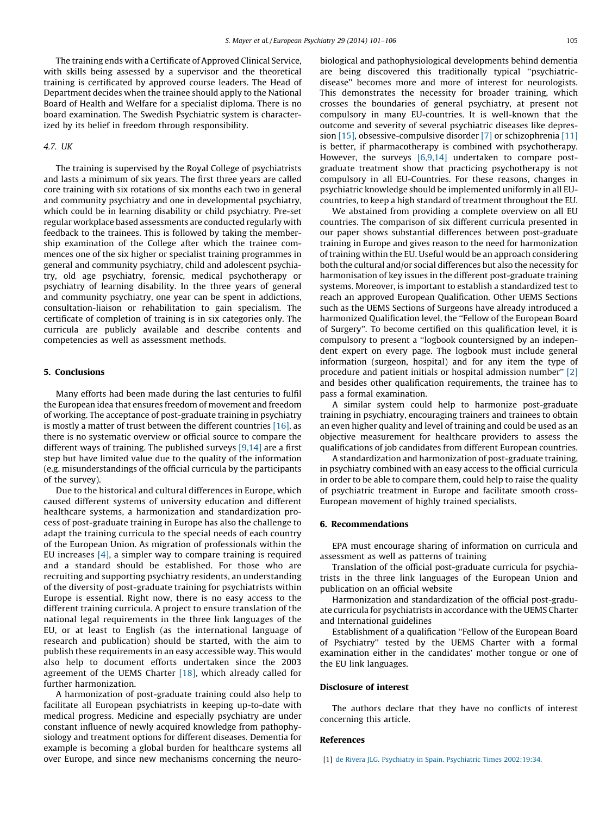<span id="page-4-0"></span>The training ends with a Certificate of Approved Clinical Service, with skills being assessed by a supervisor and the theoretical training is certificated by approved course leaders. The Head of Department decides when the trainee should apply to the National Board of Health and Welfare for a specialist diploma. There is no board examination. The Swedish Psychiatric system is characterized by its belief in freedom through responsibility.

#### 4.7. UK

The training is supervised by the Royal College of psychiatrists and lasts a minimum of six years. The first three years are called core training with six rotations of six months each two in general and community psychiatry and one in developmental psychiatry, which could be in learning disability or child psychiatry. Pre-set regular workplace based assessments are conducted regularly with feedback to the trainees. This is followed by taking the membership examination of the College after which the trainee commences one of the six higher or specialist training programmes in general and community psychiatry, child and adolescent psychiatry, old age psychiatry, forensic, medical psychotherapy or psychiatry of learning disability. In the three years of general and community psychiatry, one year can be spent in addictions, consultation-liaison or rehabilitation to gain specialism. The certificate of completion of training is in six categories only. The curricula are publicly available and describe contents and competencies as well as assessment methods.

#### 5. Conclusions

Many efforts had been made during the last centuries to fulfil the European idea that ensures freedom of movement and freedom of working. The acceptance of post-graduate training in psychiatry is mostly a matter of trust between the different countries  $[16]$ , as there is no systematic overview or official source to compare the different ways of training. The published surveys [\[9,14\]](#page-5-0) are a first step but have limited value due to the quality of the information (e.g. misunderstandings of the official curricula by the participants of the survey).

Due to the historical and cultural differences in Europe, which caused different systems of university education and different healthcare systems, a harmonization and standardization process of post-graduate training in Europe has also the challenge to adapt the training curricula to the special needs of each country of the European Union. As migration of professionals within the EU increases [\[4\]](#page-5-0), a simpler way to compare training is required and a standard should be established. For those who are recruiting and supporting psychiatry residents, an understanding of the diversity of post-graduate training for psychiatrists within Europe is essential. Right now, there is no easy access to the different training curricula. A project to ensure translation of the national legal requirements in the three link languages of the EU, or at least to English (as the international language of research and publication) should be started, with the aim to publish these requirements in an easy accessible way. This would also help to document efforts undertaken since the 2003 agreement of the UEMS Charter [\[18\]](#page-5-0), which already called for further harmonization.

A harmonization of post-graduate training could also help to facilitate all European psychiatrists in keeping up-to-date with medical progress. Medicine and especially psychiatry are under constant influence of newly acquired knowledge from pathophysiology and treatment options for different diseases. Dementia for example is becoming a global burden for healthcare systems all over Europe, and since new mechanisms concerning the neurobiological and pathophysiological developments behind dementia are being discovered this traditionally typical ''psychiatricdisease'' becomes more and more of interest for neurologists. This demonstrates the necessity for broader training, which crosses the boundaries of general psychiatry, at present not compulsory in many EU-countries. It is well-known that the outcome and severity of several psychiatric diseases like depression [\[15\]](#page-5-0), obsessive-compulsive disorder [\[7\]](#page-5-0) or schizophrenia [\[11\]](#page-5-0) is better, if pharmacotherapy is combined with psychotherapy. However, the surveys [\[6,9,14\]](#page-5-0) undertaken to compare postgraduate treatment show that practicing psychotherapy is not compulsory in all EU-Countries. For these reasons, changes in psychiatric knowledge should be implemented uniformly in all EUcountries, to keep a high standard of treatment throughout the EU.

We abstained from providing a complete overview on all EU countries. The comparison of six different curricula presented in our paper shows substantial differences between post-graduate training in Europe and gives reason to the need for harmonization of training within the EU. Useful would be an approach considering both the cultural and/or social differences but also the necessity for harmonisation of key issues in the different post-graduate training systems. Moreover, is important to establish a standardized test to reach an approved European Qualification. Other UEMS Sections such as the UEMS Sections of Surgeons have already introduced a harmonized Qualification level, the ''Fellow of the European Board of Surgery''. To become certified on this qualification level, it is compulsory to present a ''logbook countersigned by an independent expert on every page. The logbook must include general information (surgeon, hospital) and for any item the type of procedure and patient initials or hospital admission number'' [\[2\]](#page-5-0) and besides other qualification requirements, the trainee has to pass a formal examination.

A similar system could help to harmonize post-graduate training in psychiatry, encouraging trainers and trainees to obtain an even higher quality and level of training and could be used as an objective measurement for healthcare providers to assess the qualifications of job candidates from different European countries.

A standardization and harmonization of post-graduate training, in psychiatry combined with an easy access to the official curricula in order to be able to compare them, could help to raise the quality of psychiatric treatment in Europe and facilitate smooth cross-European movement of highly trained specialists.

#### 6. Recommendations

EPA must encourage sharing of information on curricula and assessment as well as patterns of training

Translation of the official post-graduate curricula for psychiatrists in the three link languages of the European Union and publication on an official website

Harmonization and standardization of the official post-graduate curricula for psychiatrists in accordance with the UEMS Charter and International guidelines

Establishment of a qualification ''Fellow of the European Board of Psychiatry'' tested by the UEMS Charter with a formal examination either in the candidates' mother tongue or one of the EU link languages.

#### Disclosure of interest

The authors declare that they have no conflicts of interest concerning this article.

#### References

[1] de Rivera JLG. Psychiatry in Spain. Psychiatric Times [2002;19:34](http://refhub.elsevier.com/S0924-9338(14)00004-2/sbref0005).